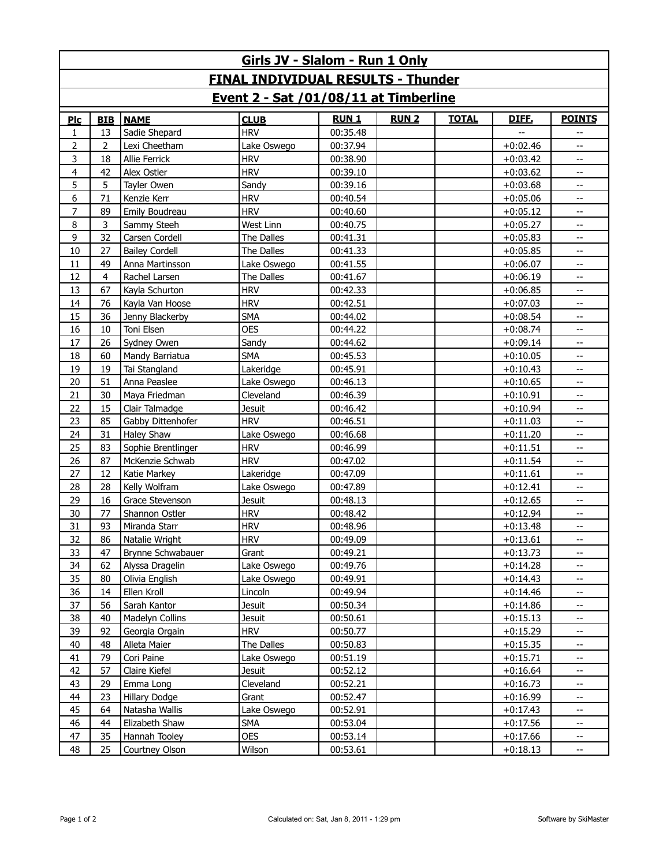| Girls JV - Slalom - Run 1 Only            |            |                       |               |             |             |              |              |                          |  |  |  |  |  |
|-------------------------------------------|------------|-----------------------|---------------|-------------|-------------|--------------|--------------|--------------------------|--|--|--|--|--|
| <b>FINAL INDIVIDUAL RESULTS - Thunder</b> |            |                       |               |             |             |              |              |                          |  |  |  |  |  |
| Event 2 - Sat /01/08/11 at Timberline     |            |                       |               |             |             |              |              |                          |  |  |  |  |  |
| $P_{\rm LC}$                              | <b>BIB</b> | <b>NAME</b>           | <b>CLUB</b>   | <b>RUN1</b> | <b>RUN2</b> | <b>TOTAL</b> | <b>DIFE.</b> | <b>POINTS</b>            |  |  |  |  |  |
| 1                                         | 13         | Sadie Shepard         | <b>HRV</b>    | 00:35.48    |             |              |              |                          |  |  |  |  |  |
| $\overline{2}$                            | 2          | Lexi Cheetham         | Lake Oswego   | 00:37.94    |             |              | $+0:02.46$   | Щ.                       |  |  |  |  |  |
| 3                                         | 18         | Allie Ferrick         | <b>HRV</b>    | 00:38.90    |             |              | $+0:03.42$   | --                       |  |  |  |  |  |
| $\overline{4}$                            | 42         | Alex Ostler           | <b>HRV</b>    | 00:39.10    |             |              | $+0:03.62$   | --                       |  |  |  |  |  |
| 5                                         | 5          | Tayler Owen           | Sandy         | 00:39.16    |             |              | $+0:03.68$   | Щ.                       |  |  |  |  |  |
| 6                                         | 71         | Kenzie Kerr           | <b>HRV</b>    | 00:40.54    |             |              | $+0:05.06$   | --                       |  |  |  |  |  |
| 7                                         | 89         | Emily Boudreau        | <b>HRV</b>    | 00:40.60    |             |              | $+0:05.12$   | Щ.                       |  |  |  |  |  |
| 8                                         | 3          | Sammy Steeh           | West Linn     | 00:40.75    |             |              | $+0:05.27$   | --                       |  |  |  |  |  |
| 9                                         | 32         | Carsen Cordell        | The Dalles    | 00:41.31    |             |              | $+0:05.83$   | Щ.                       |  |  |  |  |  |
| 10                                        | 27         | <b>Bailey Cordell</b> | The Dalles    | 00:41.33    |             |              | $+0:05.85$   | --                       |  |  |  |  |  |
| 11                                        | 49         | Anna Martinsson       | Lake Oswego   | 00:41.55    |             |              | $+0:06.07$   | --                       |  |  |  |  |  |
| 12                                        | 4          | Rachel Larsen         | The Dalles    | 00:41.67    |             |              | $+0:06.19$   | --                       |  |  |  |  |  |
| 13                                        | 67         | Kayla Schurton        | <b>HRV</b>    | 00:42.33    |             |              | $+0:06.85$   | --                       |  |  |  |  |  |
| 14                                        | 76         | Kayla Van Hoose       | <b>HRV</b>    | 00:42.51    |             |              | $+0:07.03$   | Щ.                       |  |  |  |  |  |
| 15                                        | 36         | Jenny Blackerby       | <b>SMA</b>    | 00:44.02    |             |              | $+0:08.54$   | --                       |  |  |  |  |  |
| 16                                        | 10         | Toni Elsen            | <b>OES</b>    | 00:44.22    |             |              | $+0:08.74$   | Щ.                       |  |  |  |  |  |
| 17                                        | 26         | Sydney Owen           | Sandy         | 00:44.62    |             |              | $+0:09.14$   | --                       |  |  |  |  |  |
| 18                                        | 60         | Mandy Barriatua       | <b>SMA</b>    | 00:45.53    |             |              | $+0:10.05$   | Щ.                       |  |  |  |  |  |
| 19                                        | 19         | Tai Stangland         | Lakeridge     | 00:45.91    |             |              | $+0:10.43$   | --                       |  |  |  |  |  |
| 20                                        | 51         | Anna Peaslee          | Lake Oswego   | 00:46.13    |             |              | $+0:10.65$   | --                       |  |  |  |  |  |
| 21                                        | 30         | Maya Friedman         | Cleveland     | 00:46.39    |             |              | $+0:10.91$   | --                       |  |  |  |  |  |
| 22                                        | 15         | Clair Talmadge        | <b>Jesuit</b> | 00:46.42    |             |              | $+0:10.94$   | --                       |  |  |  |  |  |
| 23                                        | 85         | Gabby Dittenhofer     | <b>HRV</b>    | 00:46.51    |             |              | $+0:11.03$   | Щ,                       |  |  |  |  |  |
| 24                                        | 31         | <b>Haley Shaw</b>     | Lake Oswego   | 00:46.68    |             |              | $+0:11.20$   | --                       |  |  |  |  |  |
| 25                                        | 83         | Sophie Brentlinger    | <b>HRV</b>    | 00:46.99    |             |              | $+0:11.51$   | Щ,                       |  |  |  |  |  |
| 26                                        | 87         | McKenzie Schwab       | <b>HRV</b>    | 00:47.02    |             |              | $+0:11.54$   | --                       |  |  |  |  |  |
| 27                                        | 12         | Katie Markey          | Lakeridge     | 00:47.09    |             |              | $+0:11.61$   | --                       |  |  |  |  |  |
| 28                                        | 28         | Kelly Wolfram         | Lake Oswego   | 00:47.89    |             |              | $+0:12.41$   | --                       |  |  |  |  |  |
| 29                                        | 16         | Grace Stevenson       | <b>Jesuit</b> | 00:48.13    |             |              | $+0:12.65$   | --                       |  |  |  |  |  |
| 30                                        | 77         | Shannon Ostler        | <b>HRV</b>    | 00:48.42    |             |              | $+0:12.94$   | --                       |  |  |  |  |  |
| 31                                        | 93         | Miranda Starr         | <b>HRV</b>    | 00:48.96    |             |              | $+0:13.48$   | --                       |  |  |  |  |  |
| 32                                        | 86         | Natalie Wright        | <b>HRV</b>    | 00:49.09    |             |              | $+0:13.61$   |                          |  |  |  |  |  |
| 33                                        | 47         | Brynne Schwabauer     | Grant         | 00:49.21    |             |              | $+0:13.73$   | --                       |  |  |  |  |  |
| 34                                        | 62         | Alyssa Dragelin       | Lake Oswego   | 00:49.76    |             |              | $+0:14.28$   | --                       |  |  |  |  |  |
| 35                                        | 80         | Olivia English        | Lake Oswego   | 00:49.91    |             |              | $+0:14.43$   |                          |  |  |  |  |  |
| 36                                        | 14         | Ellen Kroll           | Lincoln       | 00:49.94    |             |              | $+0:14.46$   | --                       |  |  |  |  |  |
| 37                                        | 56         | Sarah Kantor          | <b>Jesuit</b> | 00:50.34    |             |              | $+0:14.86$   | --                       |  |  |  |  |  |
| 38                                        | 40         | Madelyn Collins       | <b>Jesuit</b> | 00:50.61    |             |              | $+0:15.13$   | --                       |  |  |  |  |  |
| 39                                        | 92         | Georgia Orgain        | <b>HRV</b>    | 00:50.77    |             |              | $+0:15.29$   | --                       |  |  |  |  |  |
| 40                                        | 48         | Alleta Maier          | The Dalles    | 00:50.83    |             |              | $+0:15.35$   |                          |  |  |  |  |  |
| 41                                        | 79         | Cori Paine            | Lake Oswego   | 00:51.19    |             |              | $+0:15.71$   | Щ,                       |  |  |  |  |  |
| 42                                        | 57         | Claire Kiefel         | <b>Jesuit</b> | 00:52.12    |             |              | $+0:16.64$   |                          |  |  |  |  |  |
| 43                                        | 29         | Emma Long             | Cleveland     | 00:52.21    |             |              | $+0:16.73$   | --                       |  |  |  |  |  |
| 44                                        | 23         | <b>Hillary Dodge</b>  | Grant         | 00:52.47    |             |              | $+0:16.99$   |                          |  |  |  |  |  |
| 45                                        | 64         | Natasha Wallis        | Lake Oswego   | 00:52.91    |             |              | $+0:17.43$   | --                       |  |  |  |  |  |
| 46                                        | 44         | Elizabeth Shaw        | SMA           | 00:53.04    |             |              | $+0:17.56$   | --                       |  |  |  |  |  |
| 47                                        | 35         | Hannah Tooley         | <b>OES</b>    | 00:53.14    |             |              | $+0:17.66$   | --                       |  |  |  |  |  |
| 48                                        | 25         | Courtney Olson        | Wilson        | 00:53.61    |             |              | $+0:18.13$   | $\overline{\phantom{a}}$ |  |  |  |  |  |